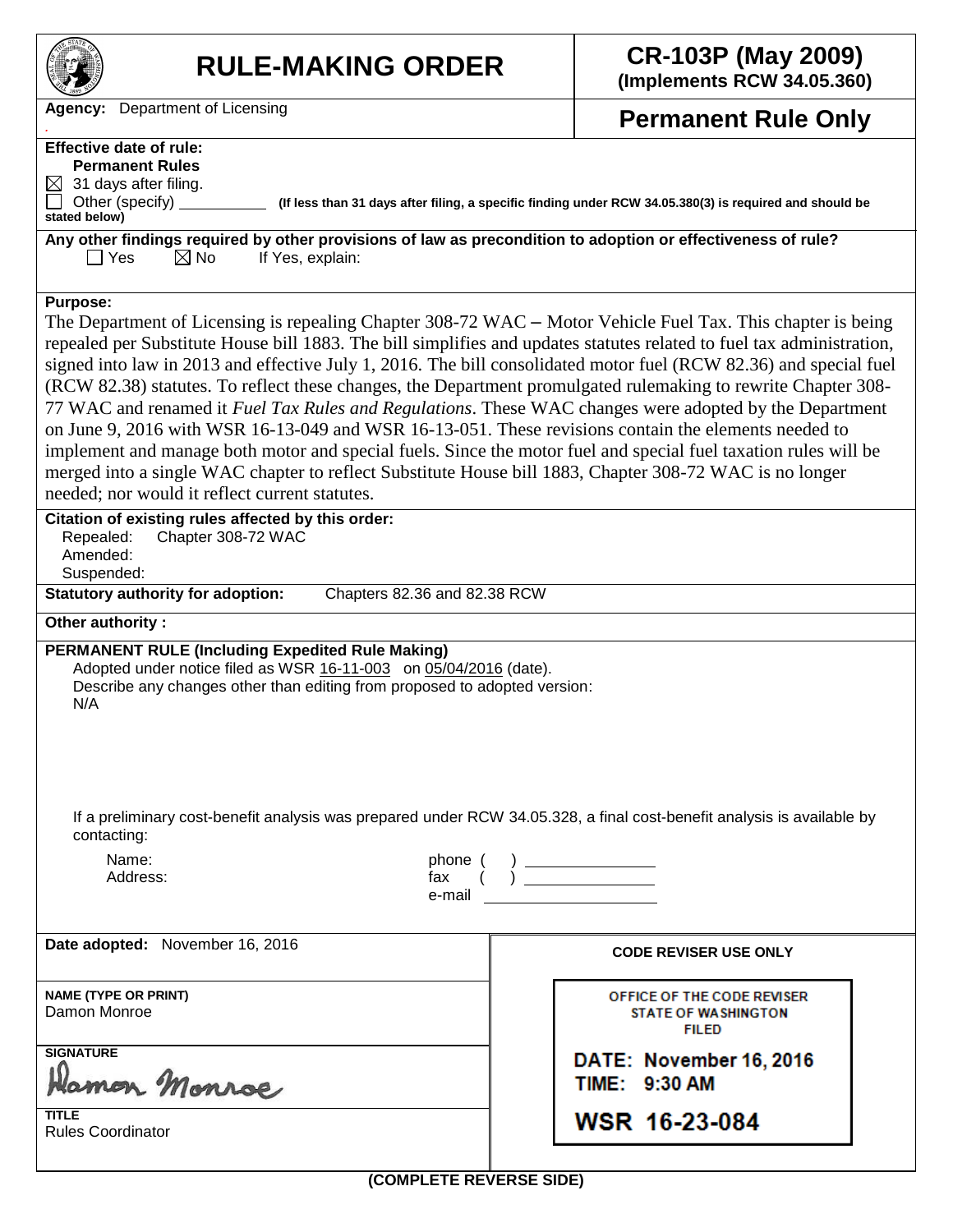| <b>RULE-MAKING ORDER</b>                                                                                                                                                                                                                                                                                                                                                                                                                                                                                                                                                                                                                                                                                                                                                                                                                                                                                                                                                                                                                                                                   | <b>CR-103P (May 2009)</b><br>(Implements RCW 34.05.360)                                                                                                                                                                                                                                                                                                                                                                                                                                                                                                           |  |  |  |
|--------------------------------------------------------------------------------------------------------------------------------------------------------------------------------------------------------------------------------------------------------------------------------------------------------------------------------------------------------------------------------------------------------------------------------------------------------------------------------------------------------------------------------------------------------------------------------------------------------------------------------------------------------------------------------------------------------------------------------------------------------------------------------------------------------------------------------------------------------------------------------------------------------------------------------------------------------------------------------------------------------------------------------------------------------------------------------------------|-------------------------------------------------------------------------------------------------------------------------------------------------------------------------------------------------------------------------------------------------------------------------------------------------------------------------------------------------------------------------------------------------------------------------------------------------------------------------------------------------------------------------------------------------------------------|--|--|--|
| Department of Licensing<br><b>Agency:</b>                                                                                                                                                                                                                                                                                                                                                                                                                                                                                                                                                                                                                                                                                                                                                                                                                                                                                                                                                                                                                                                  | <b>Permanent Rule Only</b>                                                                                                                                                                                                                                                                                                                                                                                                                                                                                                                                        |  |  |  |
| <b>Effective date of rule:</b><br><b>Permanent Rules</b><br>31 days after filing.<br>$\boxtimes$<br>Other (specify)<br>(If less than 31 days after filing, a specific finding under RCW 34.05.380(3) is required and should be<br>stated below)<br>Any other findings required by other provisions of law as precondition to adoption or effectiveness of rule?<br>$\boxtimes$ No<br>  Yes<br>If Yes, explain:                                                                                                                                                                                                                                                                                                                                                                                                                                                                                                                                                                                                                                                                             |                                                                                                                                                                                                                                                                                                                                                                                                                                                                                                                                                                   |  |  |  |
| <b>Purpose:</b><br>The Department of Licensing is repealing Chapter $308-72$ WAC – Motor Vehicle Fuel Tax. This chapter is being<br>repealed per Substitute House bill 1883. The bill simplifies and updates statutes related to fuel tax administration,<br>signed into law in 2013 and effective July 1, 2016. The bill consolidated motor fuel (RCW 82.36) and special fuel<br>(RCW 82.38) statutes. To reflect these changes, the Department promulgated rulemaking to rewrite Chapter 308-<br>77 WAC and renamed it Fuel Tax Rules and Regulations. These WAC changes were adopted by the Department<br>on June 9, 2016 with WSR 16-13-049 and WSR 16-13-051. These revisions contain the elements needed to<br>implement and manage both motor and special fuels. Since the motor fuel and special fuel taxation rules will be<br>merged into a single WAC chapter to reflect Substitute House bill 1883, Chapter 308-72 WAC is no longer<br>needed; nor would it reflect current statutes.<br>Citation of existing rules affected by this order:<br>Chapter 308-72 WAC<br>Repealed: |                                                                                                                                                                                                                                                                                                                                                                                                                                                                                                                                                                   |  |  |  |
| Amended:<br>Suspended:<br><b>Statutory authority for adoption:</b><br>Chapters 82.36 and 82.38 RCW                                                                                                                                                                                                                                                                                                                                                                                                                                                                                                                                                                                                                                                                                                                                                                                                                                                                                                                                                                                         |                                                                                                                                                                                                                                                                                                                                                                                                                                                                                                                                                                   |  |  |  |
| Other authority:                                                                                                                                                                                                                                                                                                                                                                                                                                                                                                                                                                                                                                                                                                                                                                                                                                                                                                                                                                                                                                                                           |                                                                                                                                                                                                                                                                                                                                                                                                                                                                                                                                                                   |  |  |  |
| <b>PERMANENT RULE (Including Expedited Rule Making)</b><br>Adopted under notice filed as WSR 16-11-003 on 05/04/2016 (date).<br>Describe any changes other than editing from proposed to adopted version:<br>N/A                                                                                                                                                                                                                                                                                                                                                                                                                                                                                                                                                                                                                                                                                                                                                                                                                                                                           |                                                                                                                                                                                                                                                                                                                                                                                                                                                                                                                                                                   |  |  |  |
| If a preliminary cost-benefit analysis was prepared under RCW 34.05.328, a final cost-benefit analysis is available by<br>contacting:<br>Name:<br>Address:<br>e-mail and the control of the control of the control of the control of the control of the control of the control of the control of the control of the control of the control of the control of the control of the control of t                                                                                                                                                                                                                                                                                                                                                                                                                                                                                                                                                                                                                                                                                               | $\begin{array}{c} \text{phone }(\quad) \text{ \textcolor{red}{\text{max}} } \text{ \textcolor{red}{\text{max}} } \text{ \textcolor{red}{\text{max}} } \text{ \textcolor{red}{\text{max}} } \text{ \textcolor{red}{\text{max}} } \text{ \textcolor{red}{\text{max}} } \text{ \textcolor{red}{\text{max}} } \text{ \textcolor{red}{\text{max}} } \text{ \textcolor{red}{\text{max}} } \text{ \textcolor{red}{\text{max}} } \text{ \textcolor{red}{\text{max}} } \text{ \textcolor{red}{\text{max}} } \text{ \textcolor{red}{\text{max}} } \text{ \textcolor{red}{\$ |  |  |  |
| Date adopted: November 16, 2016                                                                                                                                                                                                                                                                                                                                                                                                                                                                                                                                                                                                                                                                                                                                                                                                                                                                                                                                                                                                                                                            | <b>CODE REVISER USE ONLY</b>                                                                                                                                                                                                                                                                                                                                                                                                                                                                                                                                      |  |  |  |
| <b>NAME (TYPE OR PRINT)</b><br>Damon Monroe                                                                                                                                                                                                                                                                                                                                                                                                                                                                                                                                                                                                                                                                                                                                                                                                                                                                                                                                                                                                                                                | OFFICE OF THE CODE REVISER<br>STATE OF WASHINGTON<br><b>FILED</b>                                                                                                                                                                                                                                                                                                                                                                                                                                                                                                 |  |  |  |
| <b>SIGNATURE</b><br>Hamon Monroe                                                                                                                                                                                                                                                                                                                                                                                                                                                                                                                                                                                                                                                                                                                                                                                                                                                                                                                                                                                                                                                           | DATE: November 16, 2016<br>TIME: 9:30 AM                                                                                                                                                                                                                                                                                                                                                                                                                                                                                                                          |  |  |  |
| TITLE<br><b>Rules Coordinator</b>                                                                                                                                                                                                                                                                                                                                                                                                                                                                                                                                                                                                                                                                                                                                                                                                                                                                                                                                                                                                                                                          | WSR 16-23-084                                                                                                                                                                                                                                                                                                                                                                                                                                                                                                                                                     |  |  |  |